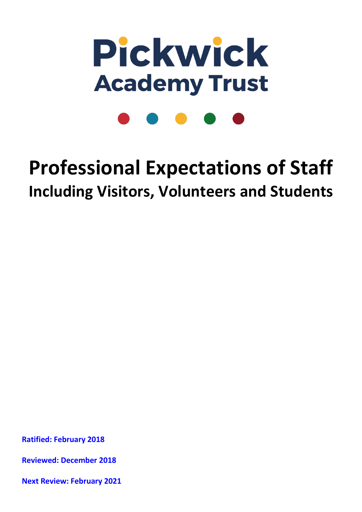

# **Professional Expectations of Staff Including Visitors, Volunteers and Students**

**Ratified: February 2018**

**Reviewed: December 2018**

**Next Review: February 2021**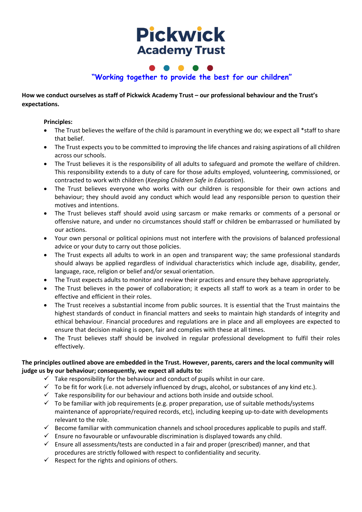## **Pickwick Academy Trust**

### **"Working together to provide the best for our children"**

**How we conduct ourselves as staff of Pickwick Academy Trust – our professional behaviour and the Trust's expectations.**

#### **Principles:**

- The Trust believes the welfare of the child is paramount in everything we do; we expect all \*staff to share that belief.
- The Trust expects you to be committed to improving the life chances and raising aspirations of all children across our schools.
- The Trust believes it is the responsibility of all adults to safeguard and promote the welfare of children. This responsibility extends to a duty of care for those adults employed, volunteering, commissioned, or contracted to work with children (*Keeping Children Safe in Education*).
- The Trust believes everyone who works with our children is responsible for their own actions and behaviour; they should avoid any conduct which would lead any responsible person to question their motives and intentions.
- The Trust believes staff should avoid using sarcasm or make remarks or comments of a personal or offensive nature, and under no circumstances should staff or children be embarrassed or humiliated by our actions.
- Your own personal or political opinions must not interfere with the provisions of balanced professional advice or your duty to carry out those policies.
- The Trust expects all adults to work in an open and transparent way; the same professional standards should always be applied regardless of individual characteristics which include age, disability, gender, language, race, religion or belief and/or sexual orientation.
- The Trust expects adults to monitor and review their practices and ensure they behave appropriately*.*
- The Trust believes in the power of collaboration; it expects all staff to work as a team in order to be effective and efficient in their roles.
- The Trust receives a substantial income from public sources. It is essential that the Trust maintains the highest standards of conduct in financial matters and seeks to maintain high standards of integrity and ethical behaviour. Financial procedures and regulations are in place and all employees are expected to ensure that decision making is open, fair and complies with these at all times.
- The Trust believes staff should be involved in regular professional development to fulfil their roles effectively.

#### **The principles outlined above are embedded in the Trust. However, parents, carers and the local community will judge us by our behaviour; consequently, we expect all adults to:**

- $\checkmark$  Take responsibility for the behaviour and conduct of pupils whilst in our care.
- $\checkmark$  To be fit for work (i.e. not adversely influenced by drugs, alcohol, or substances of any kind etc.).
- $\checkmark$  Take responsibility for our behaviour and actions both inside and outside school.
- $\checkmark$  To be familiar with job requirements (e.g. proper preparation, use of suitable methods/systems maintenance of appropriate/required records, etc), including keeping up-to-date with developments relevant to the role.
- $\checkmark$  Become familiar with communication channels and school procedures applicable to pupils and staff.
- $\checkmark$  Ensure no favourable or unfavourable discrimination is displayed towards any child.
- $\checkmark$  Ensure all assessments/tests are conducted in a fair and proper (prescribed) manner, and that procedures are strictly followed with respect to confidentiality and security.
- $\checkmark$  Respect for the rights and opinions of others.